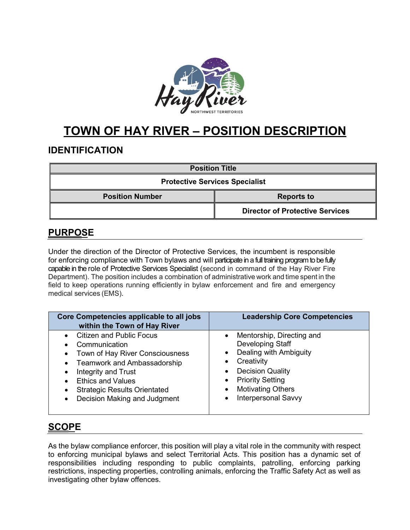

# **TOWN OF HAY RIVER – POSITION DESCRIPTION**

# **IDENTIFICATION**

| <b>Position Title</b>                 |                                        |  |
|---------------------------------------|----------------------------------------|--|
| <b>Protective Services Specialist</b> |                                        |  |
| <b>Position Number</b>                | <b>Reports to</b>                      |  |
|                                       | <b>Director of Protective Services</b> |  |

# **PURPOSE**

Under the direction of the Director of Protective Services, the incumbent is responsible for enforcing compliance with Town bylaws and will participate in a full training program to be fully capable in the role of Protective Services Specialist (second in command of the Hay River Fire Department). The position includes a combination of administrative work and time spent in the field to keep operations running efficiently in bylaw enforcement and fire and emergency medical services (EMS).

| Core Competencies applicable to all jobs<br>within the Town of Hay River | <b>Leadership Core Competencies</b> |
|--------------------------------------------------------------------------|-------------------------------------|
| <b>Citizen and Public Focus</b>                                          | Mentorship, Directing and           |
| Communication                                                            | Developing Staff                    |
| Town of Hay River Consciousness                                          | Dealing with Ambiguity              |
| Teamwork and Ambassadorship                                              | $\bullet$                           |
| Integrity and Trust                                                      | Creativity                          |
| <b>Ethics and Values</b>                                                 | <b>Decision Quality</b>             |
| <b>Strategic Results Orientated</b>                                      | <b>Priority Setting</b>             |
| Decision Making and Judgment                                             | <b>Motivating Others</b>            |
| $\bullet$                                                                | <b>Interpersonal Savvy</b>          |

# **SCOPE**

As the bylaw compliance enforcer, this position will play a vital role in the community with respect to enforcing municipal bylaws and select Territorial Acts. This position has a dynamic set of responsibilities including responding to public complaints, patrolling, enforcing parking restrictions, inspecting properties, controlling animals, enforcing the Traffic Safety Act as well as investigating other bylaw offences.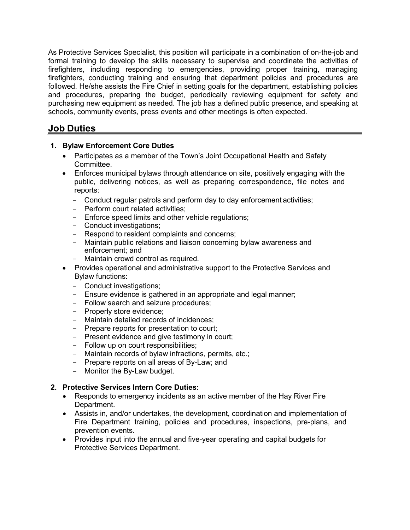As Protective Services Specialist, this position will participate in a combination of on-the-job and formal training to develop the skills necessary to supervise and coordinate the activities of firefighters, including responding to emergencies, providing proper training, managing firefighters, conducting training and ensuring that department policies and procedures are followed. He/she assists the Fire Chief in setting goals for the department, establishing policies and procedures, preparing the budget, periodically reviewing equipment for safety and purchasing new equipment as needed. The job has a defined public presence, and speaking at schools, community events, press events and other meetings is often expected.

### **Job Duties**

#### **1. Bylaw Enforcement Core Duties**

- Participates as a member of the Town's Joint Occupational Health and Safety Committee.
- Enforces municipal bylaws through attendance on site, positively engaging with the public, delivering notices, as well as preparing correspondence, file notes and reports:
	- Conduct regular patrols and perform day to day enforcement activities;
	- Perform court related activities;
	- Enforce speed limits and other vehicle regulations;
	- Conduct investigations;
	- Respond to resident complaints and concerns;
	- Maintain public relations and liaison concerning bylaw awareness and enforcement; and
	- Maintain crowd control as required.
- Provides operational and administrative support to the Protective Services and Bylaw functions:
	- Conduct investigations;
	- Ensure evidence is gathered in an appropriate and legal manner;
	- Follow search and seizure procedures;
	- Properly store evidence;
	- Maintain detailed records of incidences;
	- Prepare reports for presentation to court;
	- Present evidence and give testimony in court;
	- Follow up on court responsibilities;
	- Maintain records of bylaw infractions, permits, etc.;
	- Prepare reports on all areas of By-Law; and
	- Monitor the By-Law budget.

#### **2. Protective Services Intern Core Duties:**

- Responds to emergency incidents as an active member of the Hay River Fire Department.
- Assists in, and/or undertakes, the development, coordination and implementation of Fire Department training, policies and procedures, inspections, pre-plans, and prevention events.
- Provides input into the annual and five-year operating and capital budgets for Protective Services Department.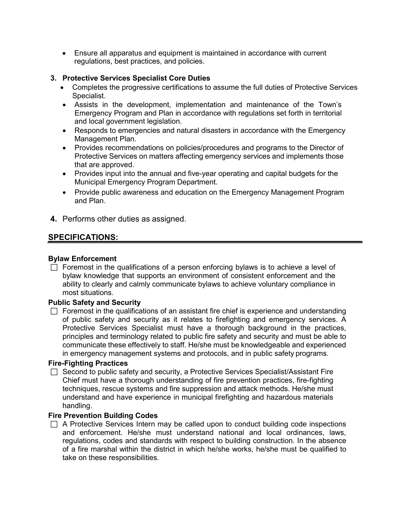• Ensure all apparatus and equipment is maintained in accordance with current regulations, best practices, and policies.

#### **3. Protective Services Specialist Core Duties**

- Completes the progressive certifications to assume the full duties of Protective Services Specialist.
- Assists in the development, implementation and maintenance of the Town's Emergency Program and Plan in accordance with regulations set forth in territorial and local government legislation.
- Responds to emergencies and natural disasters in accordance with the Emergency Management Plan.
- Provides recommendations on policies/procedures and programs to the Director of Protective Services on matters affecting emergency services and implements those that are approved.
- Provides input into the annual and five-year operating and capital budgets for the Municipal Emergency Program Department.
- Provide public awareness and education on the Emergency Management Program and Plan.
- **4.** Performs other duties as assigned.

### **SPECIFICATIONS:**

#### **Bylaw Enforcement**

 $\Box$  Foremost in the qualifications of a person enforcing bylaws is to achieve a level of bylaw knowledge that supports an environment of consistent enforcement and the ability to clearly and calmly communicate bylaws to achieve voluntary compliance in most situations.

#### **Public Safety and Security**

 $\Box$  Foremost in the qualifications of an assistant fire chief is experience and understanding of public safety and security as it relates to firefighting and emergency services. A Protective Services Specialist must have a thorough background in the practices, principles and terminology related to public fire safety and security and must be able to communicate these effectively to staff. He/she must be knowledgeable and experienced in emergency management systems and protocols, and in public safety programs.

#### **Fire-Fighting Practices**

 $\Box$  Second to public safety and security, a Protective Services Specialist/Assistant Fire Chief must have a thorough understanding of fire prevention practices, fire-fighting techniques, rescue systems and fire suppression and attack methods. He/she must understand and have experience in municipal firefighting and hazardous materials handling.

#### **Fire Prevention Building Codes**

 $\Box$  A Protective Services Intern may be called upon to conduct building code inspections and enforcement. He/she must understand national and local ordinances, laws, regulations, codes and standards with respect to building construction. In the absence of a fire marshal within the district in which he/she works, he/she must be qualified to take on these responsibilities.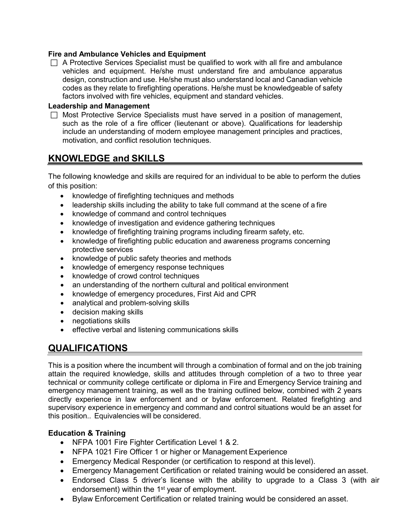#### **Fire and Ambulance Vehicles and Equipment**

 $\Box$  A Protective Services Specialist must be qualified to work with all fire and ambulance vehicles and equipment. He/she must understand fire and ambulance apparatus design, construction and use. He/she must also understand local and Canadian vehicle codes as they relate to firefighting operations. He/she must be knowledgeable of safety factors involved with fire vehicles, equipment and standard vehicles.

#### **Leadership and Management**

 $\Box$  Most Protective Service Specialists must have served in a position of management, such as the role of a fire officer (lieutenant or above). Qualifications for leadership include an understanding of modern employee management principles and practices, motivation, and conflict resolution techniques.

### **KNOWLEDGE and SKILLS**

The following knowledge and skills are required for an individual to be able to perform the duties of this position:

- knowledge of firefighting techniques and methods
- leadership skills including the ability to take full command at the scene of a fire
- knowledge of command and control techniques
- knowledge of investigation and evidence gathering techniques
- knowledge of firefighting training programs including firearm safety, etc.
- knowledge of firefighting public education and awareness programs concerning protective services
- knowledge of public safety theories and methods
- knowledge of emergency response techniques
- knowledge of crowd control techniques
- an understanding of the northern cultural and political environment
- knowledge of emergency procedures, First Aid and CPR
- analytical and problem-solving skills
- decision making skills
- negotiations skills
- effective verbal and listening communications skills

# **QUALIFICATIONS**

This is a position where the incumbent will through a combination of formal and on the job training attain the required knowledge, skills and attitudes through completion of a two to three year technical or community college certificate or diploma in Fire and Emergency Service training and emergency management training, as well as the training outlined below, combined with 2 years directly experience in law enforcement and or bylaw enforcement. Related firefighting and supervisory experience in emergency and command and control situations would be an asset for this position.. Equivalencies will be considered.

#### **Education & Training**

- NFPA 1001 Fire Fighter Certification Level 1 & 2.
- NFPA 1021 Fire Officer 1 or higher or Management Experience
- Emergency Medical Responder (or certification to respond at this level).
- Emergency Management Certification or related training would be considered an asset.
- Endorsed Class 5 driver's license with the ability to upgrade to a Class 3 (with air endorsement) within the 1<sup>st</sup> year of employment.
- Bylaw Enforcement Certification or related training would be considered an asset.